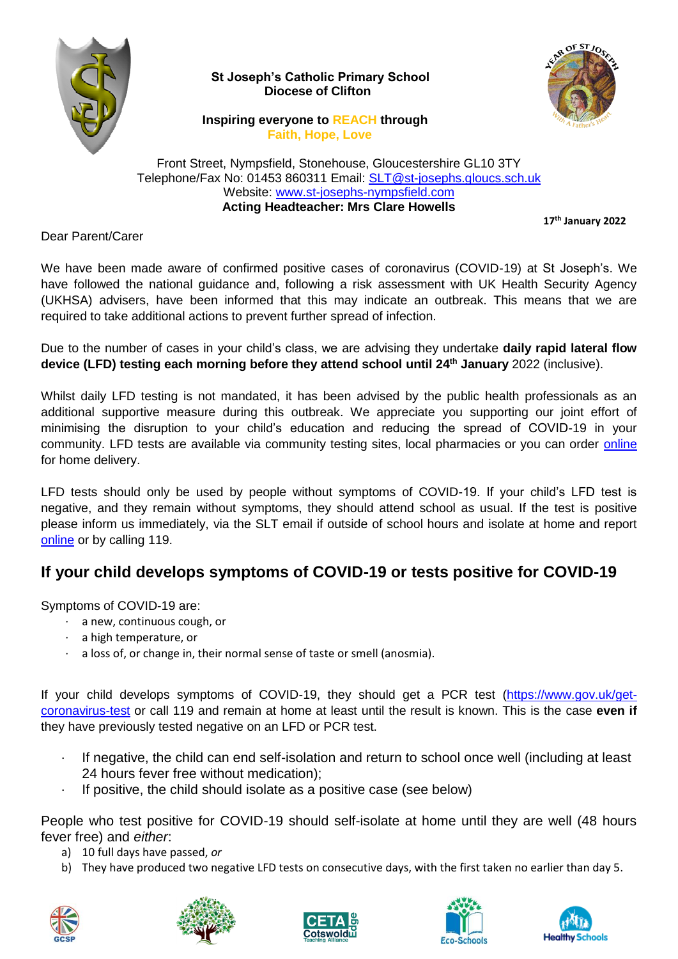

 **St Joseph's Catholic Primary School Diocese of Clifton**



 **Inspiring everyone to REACH through Faith, Hope, Love**

Front Street, Nympsfield, Stonehouse, Gloucestershire GL10 3TY Telephone/Fax No: 01453 860311 Email: [SLT@st-josephs.gloucs.sch.uk](mailto:SLT@st-josephs.gloucs.sch.uk) Website: [www.st-josephs-nympsfield.com](http://www.st-josephs-nympsfield.com/) **Acting Headteacher: Mrs Clare Howells**

**17th January 2022**

Dear Parent/Carer

We have been made aware of confirmed positive cases of coronavirus (COVID-19) at St Joseph's. We have followed the national guidance and, following a risk assessment with UK Health Security Agency (UKHSA) advisers, have been informed that this may indicate an outbreak. This means that we are required to take additional actions to prevent further spread of infection.

Due to the number of cases in your child's class, we are advising they undertake **daily rapid lateral flow device (LFD) testing each morning before they attend school until 24th January** 2022 (inclusive).

Whilst daily LFD testing is not mandated, it has been advised by the public health professionals as an additional supportive measure during this outbreak. We appreciate you supporting our joint effort of minimising the disruption to your child's education and reducing the spread of COVID-19 in your community. LFD tests are available via community testing sites, local pharmacies or you can order [online](https://www.gov.uk/order-coronavirus-rapid-lateral-flow-tests) for home delivery.

LFD tests should only be used by people without symptoms of COVID-19. If your child's LFD test is negative, and they remain without symptoms, they should attend school as usual. If the test is positive please inform us immediately, via the SLT email if outside of school hours and isolate at home and report [online](https://www.nhs.uk/conditions/coronavirus-covid-19/testing/test-results/report-a-rapid-lateral-flow-test-result/) or by calling 119.

# **If your child develops symptoms of COVID-19 or tests positive for COVID-19**

Symptoms of COVID-19 are:

- · a new, continuous cough, or
- · a high temperature, or
- · a loss of, or change in, their normal sense of taste or smell (anosmia).

If your child develops symptoms of COVID-19, they should get a PCR test [\(https://www.gov.uk/get](https://www.gov.uk/get-coronavirus-test)[coronavirus-test](https://www.gov.uk/get-coronavirus-test) or call 119 and remain at home at least until the result is known. This is the case **even if** they have previously tested negative on an LFD or PCR test.

- · If negative, the child can end self-isolation and return to school once well (including at least 24 hours fever free without medication);
- If positive, the child should isolate as a positive case (see below)

People who test positive for COVID-19 should self-isolate at home until they are well (48 hours fever free) and *either*:

- a) 10 full days have passed, *or*
- b) They have produced two negative LFD tests on consecutive days, with the first taken no earlier than day 5.









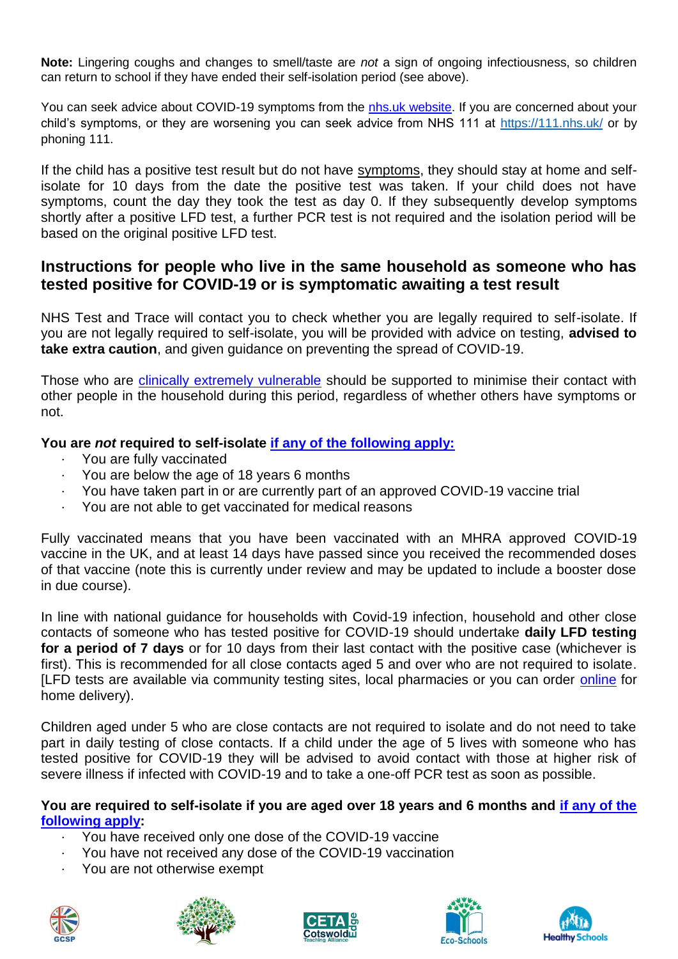**Note:** Lingering coughs and changes to smell/taste are *not* a sign of ongoing infectiousness, so children can return to school if they have ended their self-isolation period (see above).

You can seek advice about COVID-19 symptoms from the [nhs.uk website.](https://www.nhs.uk/conditions/coronavirus-covid-19/check-if-you-have-coronavirus-symptoms/) If you are concerned about your child's symptoms, or they are worsening you can seek advice from NHS 111 at<https://111.nhs.uk/> or by phoning 111.

If the child has a positive test result but do not have [symptoms,](https://www.gov.uk/government/publications/covid-19-stay-at-home-guidance/stay-at-home-guidance-for-households-with-possible-coronavirus-covid-19-infection#symptoms) they should stay at home and selfisolate for 10 days from the date the positive test was taken. If your child does not have symptoms, count the day they took the test as day 0. If they subsequently develop symptoms shortly after a positive LFD test, a further PCR test is not required and the isolation period will be based on the original positive LFD test.

## **Instructions for people who live in the same household as someone who has tested positive for COVID-19 or is symptomatic awaiting a test result**

NHS Test and Trace will contact you to check whether you are legally required to self-isolate. If you are not legally required to self-isolate, you will be provided with advice on testing, **advised to take extra caution**, and given guidance on preventing the spread of COVID-19.

Those who are [clinically extremely vulnerable](https://www.gov.uk/government/publications/guidance-on-shielding-and-protecting-extremely-vulnerable-persons-from-covid-19/guidance-on-shielding-and-protecting-extremely-vulnerable-persons-from-covid-19) should be supported to minimise their contact with other people in the household during this period, regardless of whether others have symptoms or not.

### **You are** *not* **required to self-isolate [if any of the following apply:](https://www.gov.uk/government/publications/covid-19-stay-at-home-guidance/stay-at-home-guidance-for-households-with-possible-coronavirus-covid-19-infection#exempt)**

- You are fully vaccinated
- · You are below the age of 18 years 6 months
- · You have taken part in or are currently part of an approved COVID-19 vaccine trial
- · You are not able to get vaccinated for medical reasons

Fully vaccinated means that you have been vaccinated with an MHRA approved COVID-19 vaccine in the UK, and at least 14 days have passed since you received the recommended doses of that vaccine (note this is currently under review and may be updated to include a booster dose in due course).

In line with national guidance for households with Covid-19 infection, household and other close contacts of someone who has tested positive for COVID-19 should undertake **daily LFD testing for a period of 7 days** or for 10 days from their last contact with the positive case (whichever is first). This is recommended for all close contacts aged 5 and over who are not required to isolate. [LFD tests are available via community testing sites, local pharmacies or you can order [online](https://www.gov.uk/order-coronavirus-rapid-lateral-flow-tests) for home delivery).

Children aged under 5 who are close contacts are not required to isolate and do not need to take part in daily testing of close contacts. If a child under the age of 5 lives with someone who has tested positive for COVID-19 they will be advised to avoid contact with those at higher risk of severe illness if infected with COVID-19 and to take a one-off PCR test as soon as possible.

#### **You are required to self-isolate if you are aged over 18 years and 6 months and [if any of the](https://www.nhs.uk/conditions/coronavirus-covid-19/self-isolation-and-treatment/when-to-self-isolate-and-what-to-do/)  [following apply:](https://www.nhs.uk/conditions/coronavirus-covid-19/self-isolation-and-treatment/when-to-self-isolate-and-what-to-do/)**

- · You have received only one dose of the COVID-19 vaccine
- You have not received any dose of the COVID-19 vaccination
- You are not otherwise exempt









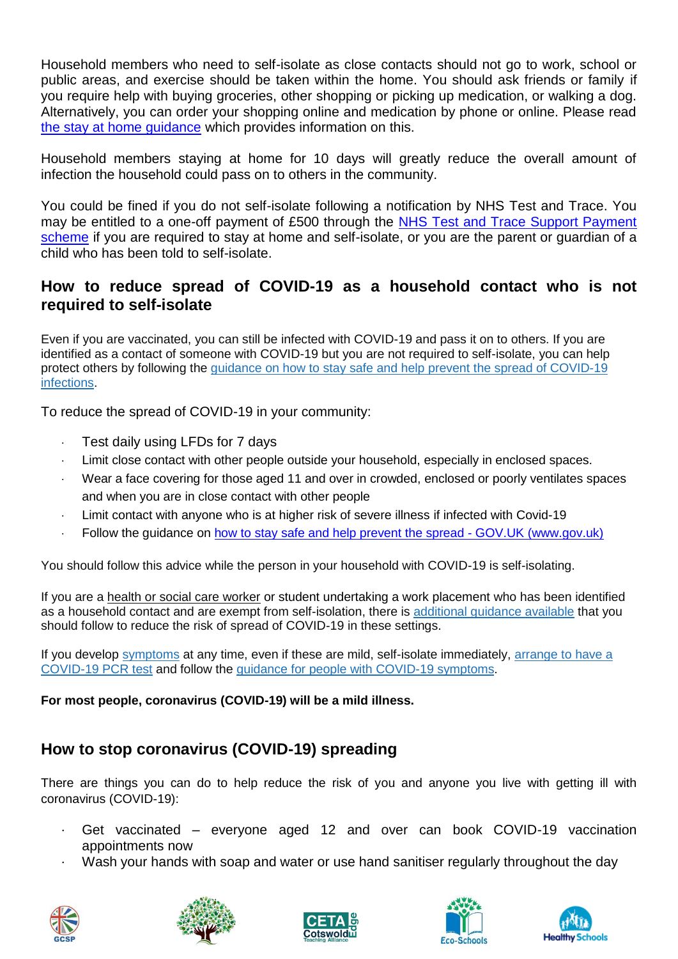Household members who need to self-isolate as close contacts should not go to work, school or public areas, and exercise should be taken within the home. You should ask friends or family if you require help with buying groceries, other shopping or picking up medication, or walking a dog. Alternatively, you can order your shopping online and medication by phone or online. Please read [the stay at home guidance](https://www.gov.uk/government/publications/covid-19-stay-at-home-guidance/stay-at-home-guidance-for-households-with-possible-coronavirus-covid-19-infection) which provides information on this.

Household members staying at home for 10 days will greatly reduce the overall amount of infection the household could pass on to others in the community.

You could be fined if you do not self-isolate following a notification by NHS Test and Trace. You may be entitled to a one-off payment of £500 through the [NHS Test and Trace Support Payment](https://www.gov.uk/government/publications/test-and-trace-support-payment-scheme-claiming-financial-support/claiming-financial-support-under-the-test-and-trace-support-payment-scheme)  [scheme](https://www.gov.uk/government/publications/test-and-trace-support-payment-scheme-claiming-financial-support/claiming-financial-support-under-the-test-and-trace-support-payment-scheme) if you are required to stay at home and self-isolate, or you are the parent or guardian of a child who has been told to self-isolate.

## **How to reduce spread of COVID-19 as a household contact who is not required to self-isolate**

Even if you are vaccinated, you can still be infected with COVID-19 and pass it on to others. If you are identified as a contact of someone with COVID-19 but you are not required to self-isolate, you can help protect others by following the [guidance](https://www.gov.uk/guidance/covid-19-coronavirus-restrictions-what-you-can-and-cannot-do#keeping-yourself-and-others-safe) on how to stay safe and help prevent the spread of COVID-19 infections.

To reduce the spread of COVID-19 in your community:

- · Test daily using LFDs for 7 days
- Limit close contact with other people outside your household, especially in enclosed spaces.
- Wear a face covering for those aged 11 and over in crowded, enclosed or poorly ventilates spaces and when you are in close contact with other people
- Limit contact with anyone who is at higher risk of severe illness if infected with Covid-19
- · Follow the guidance on how to stay safe and help prevent the spread GOV.UK (www.gov.uk)

You should follow this advice while the person in your household with COVID-19 is self-isolating.

If you are a health or social care worker or student undertaking a work placement who has been identified as a household contact and are exempt from self-isolation, there is [additional](https://www.gov.uk/government/publications/covid-19-management-of-exposed-healthcare-workers-and-patients-in-hospital-settings/covid-19-management-of-exposed-healthcare-workers-and-patients-in-hospital-settings) guidance available that you should follow to reduce the risk of spread of COVID-19 in these settings.

If you develop [symptoms](https://www.gov.uk/government/publications/covid-19-stay-at-home-guidance/stay-at-home-guidance-for-households-with-possible-coronavirus-covid-19-infection#symptoms) at any time, even if these are mild, self-isolate immediately, [arrange](https://www.gov.uk/get-coronavirus-test) to have a [COVID-19](https://www.gov.uk/get-coronavirus-test) PCR test and follow the guidance for people with COVID-19 [symptoms.](https://www.gov.uk/government/publications/covid-19-stay-at-home-guidance/stay-at-home-guidance-for-households-with-possible-coronavirus-covid-19-infection#SymptomsPositiveTest)

**For most people, coronavirus (COVID-19) will be a mild illness.**

# **How to stop coronavirus (COVID-19) spreading**

There are things you can do to help reduce the risk of you and anyone you live with getting ill with coronavirus (COVID-19):

- Get vaccinated everyone aged 12 and over can book COVID-19 vaccination appointments now
- Wash your hands with soap and water or use hand sanitiser regularly throughout the day